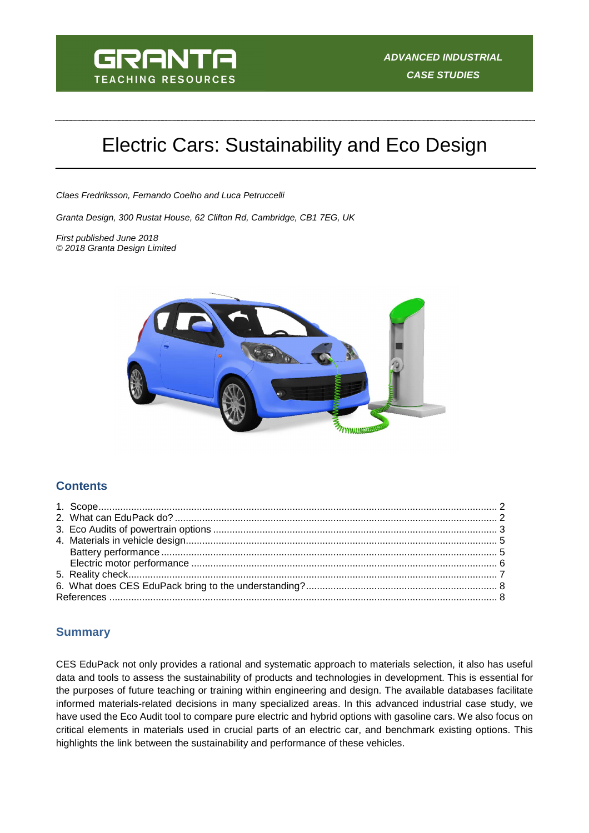

# Electric Cars: Sustainability and Eco Design

Claes Fredriksson, Fernando Coelho and Luca Petruccelli

Granta Design, 300 Rustat House, 62 Clifton Rd, Cambridge, CB1 7EG, UK

First published June 2018 © 2018 Granta Design Limited



## **Contents**

## **Summary**

CES EduPack not only provides a rational and systematic approach to materials selection, it also has useful data and tools to assess the sustainability of products and technologies in development. This is essential for the purposes of future teaching or training within engineering and design. The available databases facilitate informed materials-related decisions in many specialized areas. In this advanced industrial case study, we have used the Eco Audit tool to compare pure electric and hybrid options with gasoline cars. We also focus on critical elements in materials used in crucial parts of an electric car, and benchmark existing options. This highlights the link between the sustainability and performance of these vehicles.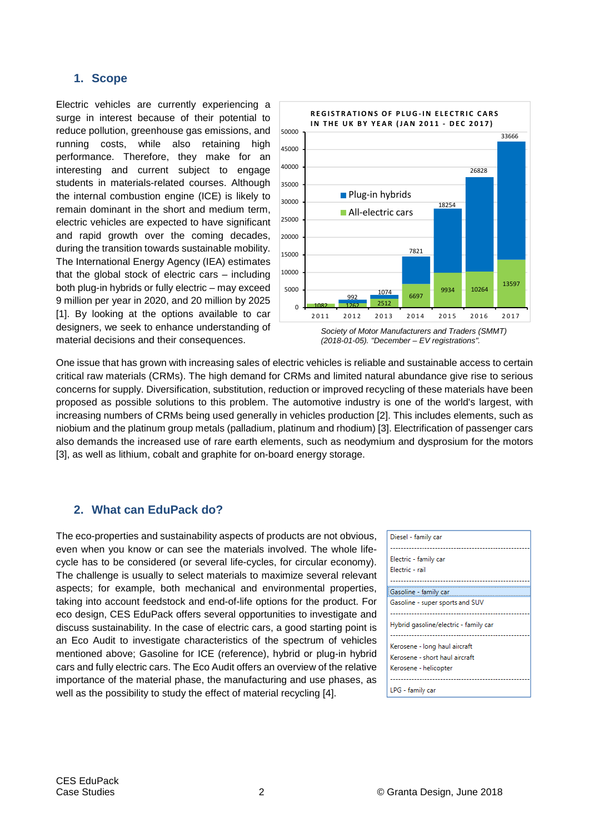## **1. Scope**

Electric vehicles are currently experiencing a surge in interest because of their potential to reduce pollution, greenhouse gas emissions, and running costs, while also retaining high performance. Therefore, they make for an interesting and current subject to engage students in materials-related courses. Although the internal combustion engine (ICE) is likely to remain dominant in the short and medium term, electric vehicles are expected to have significant and rapid growth over the coming decades, during the transition towards sustainable mobility. The International Energy Agency (IEA) estimates that the global stock of electric cars – including both plug-in hybrids or fully electric – may exceed 9 million per year in 2020, and 20 million by 2025 [1]. By looking at the options available to car designers, we seek to enhance understanding of material decisions and their consequences.



(2018-01-05). "December – EV registrations".

One issue that has grown with increasing sales of electric vehicles is reliable and sustainable access to certain critical raw materials (CRMs). The high demand for CRMs and limited natural abundance give rise to serious concerns for supply. Diversification, substitution, reduction or improved recycling of these materials have been proposed as possible solutions to this problem. The automotive industry is one of the world's largest, with increasing numbers of CRMs being used generally in vehicles production [2]. This includes elements, such as niobium and the platinum group metals (palladium, platinum and rhodium) [3]. Electrification of passenger cars also demands the increased use of rare earth elements, such as neodymium and dysprosium for the motors [3], as well as lithium, cobalt and graphite for on-board energy storage.

## **2. What can EduPack do?**

The eco-properties and sustainability aspects of products are not obvious, even when you know or can see the materials involved. The whole lifecycle has to be considered (or several life-cycles, for circular economy). The challenge is usually to select materials to maximize several relevant aspects; for example, both mechanical and environmental properties, taking into account feedstock and end-of-life options for the product. For eco design, CES EduPack offers several opportunities to investigate and discuss sustainability. In the case of electric cars, a good starting point is an Eco Audit to investigate characteristics of the spectrum of vehicles mentioned above; Gasoline for ICE (reference), hybrid or plug-in hybrid cars and fully electric cars. The Eco Audit offers an overview of the relative importance of the material phase, the manufacturing and use phases, as well as the possibility to study the effect of material recycling [4].

| Diesel - family car                   |
|---------------------------------------|
| Electric - family car                 |
| Electric - rail                       |
|                                       |
| Gasoline - family car                 |
| Gasoline - super sports and SUV       |
|                                       |
| Hybrid gasoline/electric - family car |
| Kerosene - long haul aircraft         |
| Kerosene - short haul aircraft        |
| Kerosene - helicopter                 |
|                                       |
| LPG - family car                      |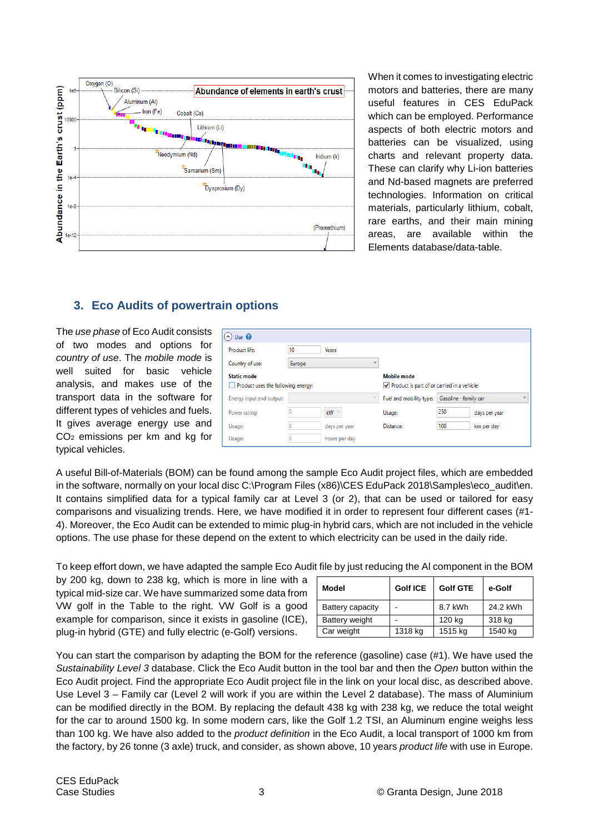

When it comes to investigating electric motors and batteries, there are many useful features in CES EduPack which can be employed. Performance aspects of both electric motors and batteries can be visualized, using charts and relevant property data. These can clarify why Li-ion batteries and Nd-based magnets are preferred technologies. Information on critical materials, particularly lithium, cobalt, rare earths, and their main mining areas, are available within the Elements database/data-table.

# **3. Eco Audits of powertrain options**

The use phase of Eco Audit consists of two modes and options for country of use. The mobile mode is well suited for basic vehicle analysis, and makes use of the transport data in the software for different types of vehicles and fuels. It gives average energy use and CO2 emissions per km and kg for typical vehicles.

| $\left(\begin{matrix} \wedge \end{matrix}\right)$ Use $\bigcirc$ |                                                                             |                     |           |                                                                   |               |              |  |  |  |
|------------------------------------------------------------------|-----------------------------------------------------------------------------|---------------------|-----------|-------------------------------------------------------------------|---------------|--------------|--|--|--|
| Product life:                                                    | 10<br>Years<br>$\checkmark$<br>Europe<br>Product uses the following energy: |                     |           |                                                                   |               |              |  |  |  |
| Country of use:                                                  |                                                                             |                     |           |                                                                   |               |              |  |  |  |
| Static mode                                                      |                                                                             |                     |           | <b>Mobile mode</b><br>Product is part of or carried in a vehicle: |               |              |  |  |  |
| Energy input and output:                                         |                                                                             |                     |           | Gasoline - family car                                             |               | $\checkmark$ |  |  |  |
| Power rating:                                                    |                                                                             | <b>kW</b><br>$\sim$ | Usage:    | 250                                                               | days per year |              |  |  |  |
| Usage:                                                           |                                                                             | days per year       | Distance: | 100                                                               | km per day    |              |  |  |  |
| Usage:                                                           | 0                                                                           | hours per day       |           |                                                                   |               |              |  |  |  |

A useful Bill-of-Materials (BOM) can be found among the sample Eco Audit project files, which are embedded in the software, normally on your local disc C:\Program Files (x86)\CES EduPack 2018\Samples\eco\_audit\en. It contains simplified data for a typical family car at Level 3 (or 2), that can be used or tailored for easy comparisons and visualizing trends. Here, we have modified it in order to represent four different cases (#1- 4). Moreover, the Eco Audit can be extended to mimic plug-in hybrid cars, which are not included in the vehicle options. The use phase for these depend on the extent to which electricity can be used in the daily ride.

To keep effort down, we have adapted the sample Eco Audit file by just reducing the Al component in the BOM

by 200 kg, down to 238 kg, which is more in line with a typical mid-size car. We have summarized some data from VW golf in the Table to the right. VW Golf is a good example for comparison, since it exists in gasoline (ICE), plug-in hybrid (GTE) and fully electric (e-Golf) versions.

| Model            | <b>Golf ICE</b> | <b>Golf GTE</b> | e-Golf   |  |
|------------------|-----------------|-----------------|----------|--|
| Battery capacity |                 | 8.7 kWh         | 24.2 kWh |  |
| Battery weight   |                 | 120 kg          | 318 kg   |  |
| Car weight       | 1318 kg         | 1515 kg         | 1540 kg  |  |

You can start the comparison by adapting the BOM for the reference (gasoline) case (#1). We have used the Sustainability Level 3 database. Click the Eco Audit button in the tool bar and then the Open button within the Eco Audit project. Find the appropriate Eco Audit project file in the link on your local disc, as described above. Use Level 3 – Family car (Level 2 will work if you are within the Level 2 database). The mass of Aluminium can be modified directly in the BOM. By replacing the default 438 kg with 238 kg, we reduce the total weight for the car to around 1500 kg. In some modern cars, like the Golf 1.2 TSI, an Aluminum engine weighs less than 100 kg. We have also added to the product definition in the Eco Audit, a local transport of 1000 km from the factory, by 26 tonne (3 axle) truck, and consider, as shown above, 10 years *product life* with use in Europe.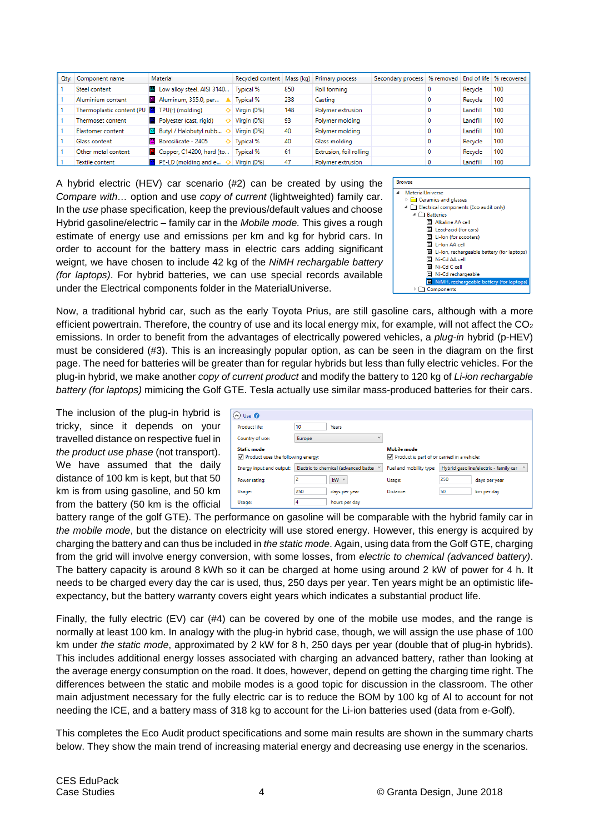| Qty. Component name       | Material                                                 | Recycled content Mass (kg) |     | <b>Primary process</b>  | Secondary process % removed End of life % recovered |          |     |
|---------------------------|----------------------------------------------------------|----------------------------|-----|-------------------------|-----------------------------------------------------|----------|-----|
| Steel content             | Low alloy steel, AISI 3140 Typical %                     |                            | 850 | <b>Roll forming</b>     |                                                     | Recycle  | 100 |
| Aluminium content         | Aluminum, 355.0, per                                     | A Typical %                | 238 | Casting                 |                                                     | Recycle  | 100 |
| Thermoplastic content (PU | $\mathbf{E}$ TPU(r) (molding)                            | $\Diamond$ Virgin (0%)     | 148 | Polymer extrusion       |                                                     | Landfill | 100 |
| Thermoset content         | Polyester (cast, rigid)                                  | $\Diamond$ Virgin (0%)     | 93  | Polymer molding         |                                                     | Landfill | 100 |
| Elastomer content         | 图 Butyl / Halobutyl rubb ◇ Virgin (0%)                   |                            | 40  | Polymer molding         |                                                     | Landfill | 100 |
| Glass content             | 图 Borosilicate - 2405                                    | ♦ Typical %                | 40  | Glass molding           |                                                     | Recycle  | 100 |
| Other metal content       | Copper, C14200, hard (to   Typical %                     |                            | 61  | Extrusion, foil rolling |                                                     | Recycle  | 100 |
| Textile content           | $\mathbb{E}$ PE-LD (molding and e $\Diamond$ Virgin (0%) |                            | 47  | Polymer extrusion       |                                                     | Landfill | 100 |

A hybrid electric (HEV) car scenario (#2) can be created by using the Compare with… option and use copy of current (lightweighted) family car. In the use phase specification, keep the previous/default values and choose Hybrid gasoline/electric – family car in the Mobile mode. This gives a rough estimate of energy use and emissions per km and kg for hybrid cars. In order to account for the battery mass in electric cars adding significant weignt, we have chosen to include 42 kg of the NiMH rechargable battery (for laptops). For hybrid batteries, we can use special records available under the Electrical components folder in the MaterialUniverse.

| <b>Browse</b>                              |  |  |  |  |  |  |  |
|--------------------------------------------|--|--|--|--|--|--|--|
| MaterialUniverse                           |  |  |  |  |  |  |  |
| Ceramics and glasses                       |  |  |  |  |  |  |  |
| Electrical components (Eco audit only)     |  |  |  |  |  |  |  |
| <b>T</b> Batteries                         |  |  |  |  |  |  |  |
| Alkaline AA cell                           |  |  |  |  |  |  |  |
| Lead-acid (for cars)                       |  |  |  |  |  |  |  |
| Li-lon (for scooters)                      |  |  |  |  |  |  |  |
| Li-Ion AA cell<br>ᄩ                        |  |  |  |  |  |  |  |
| Li-lon, rechargeable battery (for laptops) |  |  |  |  |  |  |  |
| Ni-Cd AA cell                              |  |  |  |  |  |  |  |
| Ni-Cd C cell<br>ᄪ                          |  |  |  |  |  |  |  |
| Ni-Cd rechargeable                         |  |  |  |  |  |  |  |
| NiMH, rechargeable battery (for laptops)   |  |  |  |  |  |  |  |
| Components                                 |  |  |  |  |  |  |  |

Now, a traditional hybrid car, such as the early Toyota Prius, are still gasoline cars, although with a more efficient powertrain. Therefore, the country of use and its local energy mix, for example, will not affect the  $CO<sub>2</sub>$ emissions. In order to benefit from the advantages of electrically powered vehicles, a plug-in hybrid (p-HEV) must be considered (#3). This is an increasingly popular option, as can be seen in the diagram on the first page. The need for batteries will be greater than for regular hybrids but less than fully electric vehicles. For the plug-in hybrid, we make another copy of current product and modify the battery to 120 kg of Li-ion rechargable battery (for laptops) mimicing the Golf GTE. Tesla actually use similar mass-produced batteries for their cars.

The inclusion of the plug-in hybrid is tricky, since it depends on your travelled distance on respective fuel in the product use phase (not transport). We have assumed that the daily distance of 100 km is kept, but that 50 km is from using gasoline, and 50 km from the battery (50 km is the official

| $\bigcirc$ Use $\bigcirc$                                           |        |               |                                                       |                                                       |            |  |
|---------------------------------------------------------------------|--------|---------------|-------------------------------------------------------|-------------------------------------------------------|------------|--|
| 10<br>Product life:<br><b>Years</b>                                 |        |               |                                                       |                                                       |            |  |
| Country of use:                                                     | Europe | $\checkmark$  |                                                       |                                                       |            |  |
| <b>Static mode</b>                                                  |        |               | <b>Mobile mode</b>                                    |                                                       |            |  |
| $\sqrt{}$ Product uses the following energy:                        |        |               | $\sqrt{}$ Product is part of or carried in a vehicle: |                                                       |            |  |
| Electric to chemical (advanced batter Y<br>Energy input and output: |        |               | Fuel and mobility type:                               | Hybrid gasoline/electric - family car<br>$\checkmark$ |            |  |
| kW<br>$\checkmark$<br>Power rating:                                 |        | Usage:        | 250                                                   | days per year                                         |            |  |
| Usage:                                                              | 250    | days per year | Distance:                                             | 50                                                    | km per day |  |
| Usage:                                                              | 4      | hours per day |                                                       |                                                       |            |  |

battery range of the golf GTE). The performance on gasoline will be comparable with the hybrid family car in the mobile mode, but the distance on electricity will use stored energy. However, this energy is acquired by charging the battery and can thus be included in the static mode. Again, using data from the Golf GTE, charging from the grid will involve energy conversion, with some losses, from electric to chemical (advanced battery). The battery capacity is around 8 kWh so it can be charged at home using around 2 kW of power for 4 h. It needs to be charged every day the car is used, thus, 250 days per year. Ten years might be an optimistic lifeexpectancy, but the battery warranty covers eight years which indicates a substantial product life.

Finally, the fully electric (EV) car (#4) can be covered by one of the mobile use modes, and the range is normally at least 100 km. In analogy with the plug-in hybrid case, though, we will assign the use phase of 100 km under the static mode, approximated by 2 kW for 8 h, 250 days per year (double that of plug-in hybrids). This includes additional energy losses associated with charging an advanced battery, rather than looking at the average energy consumption on the road. It does, however, depend on getting the charging time right. The differences between the static and mobile modes is a good topic for discussion in the classroom. The other main adjustment necessary for the fully electric car is to reduce the BOM by 100 kg of Al to account for not needing the ICE, and a battery mass of 318 kg to account for the Li-ion batteries used (data from e-Golf).

This completes the Eco Audit product specifications and some main results are shown in the summary charts below. They show the main trend of increasing material energy and decreasing use energy in the scenarios.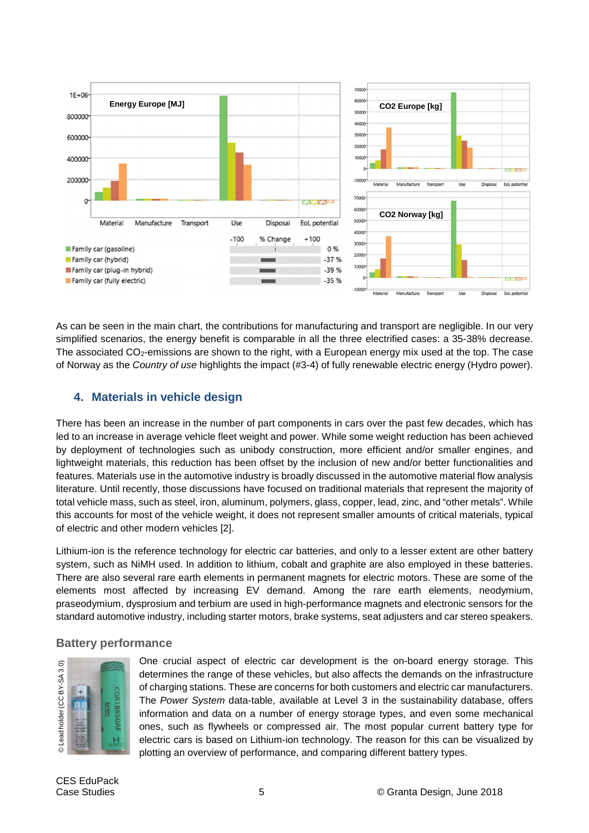

As can be seen in the main chart, the contributions for manufacturing and transport are negligible. In our very simplified scenarios, the energy benefit is comparable in all the three electrified cases: a 35-38% decrease. The associated CO<sub>2</sub>-emissions are shown to the right, with a European energy mix used at the top. The case of Norway as the Country of use highlights the impact (#3-4) of fully renewable electric energy (Hydro power).

## **4. Materials in vehicle design**

There has been an increase in the number of part components in cars over the past few decades, which has led to an increase in average vehicle fleet weight and power. While some weight reduction has been achieved by deployment of technologies such as unibody construction, more efficient and/or smaller engines, and lightweight materials, this reduction has been offset by the inclusion of new and/or better functionalities and features. Materials use in the automotive industry is broadly discussed in the automotive material flow analysis literature. Until recently, those discussions have focused on traditional materials that represent the majority of total vehicle mass, such as steel, iron, aluminum, polymers, glass, copper, lead, zinc, and "other metals". While this accounts for most of the vehicle weight, it does not represent smaller amounts of critical materials, typical of electric and other modern vehicles [2].

Lithium-ion is the reference technology for electric car batteries, and only to a lesser extent are other battery system, such as NiMH used. In addition to lithium, cobalt and graphite are also employed in these batteries. There are also several rare earth elements in permanent magnets for electric motors. These are some of the elements most affected by increasing EV demand. Among the rare earth elements, neodymium, praseodymium, dysprosium and terbium are used in high-performance magnets and electronic sensors for the standard automotive industry, including starter motors, brake systems, seat adjusters and car stereo speakers.

## **Battery performance**



One crucial aspect of electric car development is the on-board energy storage. This determines the range of these vehicles, but also affects the demands on the infrastructure of charging stations. These are concerns for both customers and electric car manufacturers. The Power System data-table, available at Level 3 in the sustainability database, offers information and data on a number of energy storage types, and even some mechanical ones, such as flywheels or compressed air. The most popular current battery type for electric cars is based on Lithium-ion technology. The reason for this can be visualized by plotting an overview of performance, and comparing different battery types.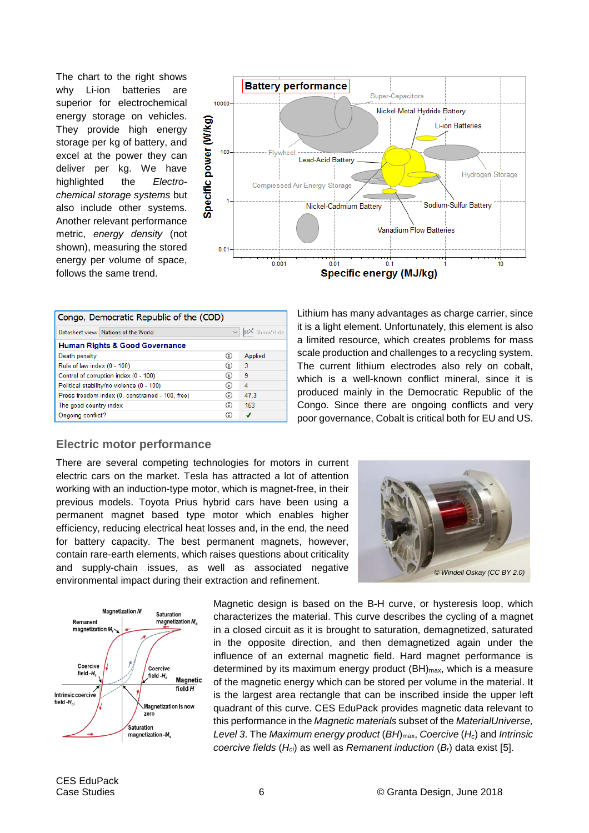The chart to the right shows why Li-ion batteries are superior for electrochemical energy storage on vehicles. They provide high energy storage per kg of battery, and excel at the power they can deliver per kg. We have highlighted the Electrochemical storage systems but also include other systems. Another relevant performance metric, energy density (not shown), measuring the stored energy per volume of space, follows the same trend.



| Congo, Democratic Republic of the (COD)          |    |                  |  |  |  |  |  |
|--------------------------------------------------|----|------------------|--|--|--|--|--|
| Datasheet view:   Nations of the World           |    | v   xX Show/Hide |  |  |  |  |  |
| <b>Human Rights &amp; Good Governance</b>        |    |                  |  |  |  |  |  |
| O<br>Death penalty<br>Applied                    |    |                  |  |  |  |  |  |
| Rule of law index (0 - 100)<br>3<br>(i)          |    |                  |  |  |  |  |  |
| Control of corruption index (0 - 100)            | O  | 9                |  |  |  |  |  |
| Political stability/no violence (0 - 100)        | G) | 4                |  |  |  |  |  |
| Press freedom index (0, constrained - 100, free) | ⊕  | 47.3             |  |  |  |  |  |
| The good country index                           | G) | 153              |  |  |  |  |  |
| Ongoing conflict?                                |    | J                |  |  |  |  |  |

## **Electric motor performance**

There are several competing technologies for motors in current electric cars on the market. Tesla has attracted a lot of attention working with an induction-type motor, which is magnet-free, in their previous models. Toyota Prius hybrid cars have been using a permanent magnet based type motor which enables higher efficiency, reducing electrical heat losses and, in the end, the need for battery capacity. The best permanent magnets, however, contain rare-earth elements, which raises questions about criticality and supply-chain issues, as well as associated negative environmental impact during their extraction and refinement.



Magnetic design is based on the B-H curve, or hysteresis loop, which characterizes the material. This curve describes the cycling of a magnet in a closed circuit as it is brought to saturation, demagnetized, saturated in the opposite direction, and then demagnetized again under the influence of an external magnetic field. Hard magnet performance is determined by its maximum energy product  $(BH)_{\text{max}}$ , which is a measure of the magnetic energy which can be stored per volume in the material. It is the largest area rectangle that can be inscribed inside the upper left quadrant of this curve. CES EduPack provides magnetic data relevant to this performance in the Magnetic materials subset of the MaterialUniverse, Level 3. The Maximum energy product  $(BH)_{\text{max}}$ , Coercive  $(H_c)$  and Intrinsic coercive fields  $(H_{ci})$  as well as Remanent induction  $(B<sub>i</sub>)$  data exist [5].

Lithium has many advantages as charge carrier, since it is a light element. Unfortunately, this element is also a limited resource, which creates problems for mass scale production and challenges to a recycling system. The current lithium electrodes also rely on cobalt, which is a well-known conflict mineral, since it is produced mainly in the Democratic Republic of the Congo. Since there are ongoing conflicts and very poor governance, Cobalt is critical both for EU and US.

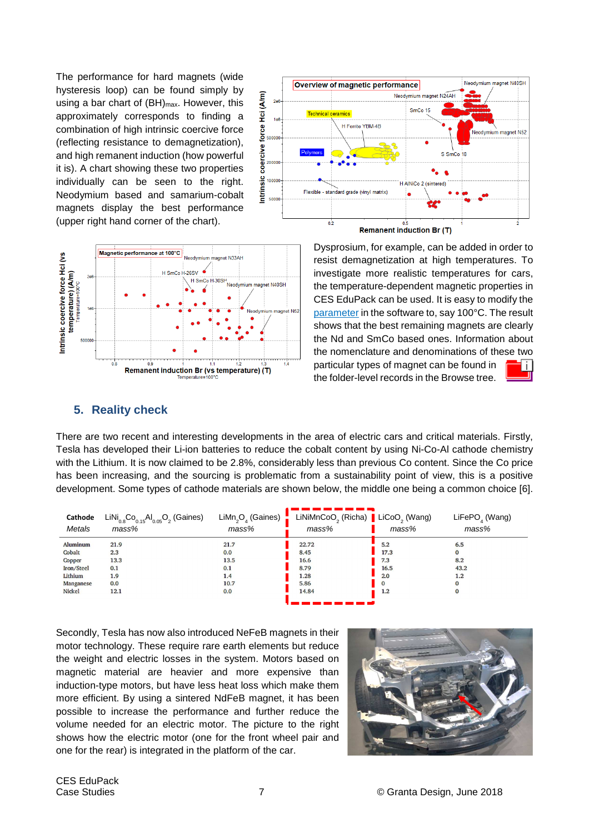The performance for hard magnets (wide hysteresis loop) can be found simply by using a bar chart of  $(BH)_{\text{max}}$ . However, this approximately corresponds to finding a combination of high intrinsic coercive force (reflecting resistance to demagnetization), and high remanent induction (how powerful it is). A chart showing these two properties individually can be seen to the right. Neodymium based and samarium-cobalt magnets display the best performance (upper right hand corner of the chart).





Dysprosium, for example, can be added in order to resist demagnetization at high temperatures. To investigate more realistic temperatures for cars, the temperature-dependent magnetic properties in CES EduPack can be used. It is easy to modify the parameter in the software to, say 100°C. The result shows that the best remaining magnets are clearly the Nd and SmCo based ones. Information about the nomenclature and denominations of these two particular types of magnet can be found in the folder-level records in the Browse tree.

## **5. Reality check**

There are two recent and interesting developments in the area of electric cars and critical materials. Firstly, Tesla has developed their Li-ion batteries to reduce the cobalt content by using Ni-Co-Al cathode chemistry with the Lithium. It is now claimed to be 2.8%, considerably less than previous Co content. Since the Co price has been increasing, and the sourcing is problematic from a sustainability point of view, this is a positive development. Some types of cathode materials are shown below, the middle one being a common choice [6].

| Cathode<br>Metals | $LiNi_{0.8}Co_{0.15}Al_{0.05}O_2$ (Gaines)<br>mass% | LiMn <sub>2</sub> O <sub>4</sub> (Gaines)<br>mass% | LiNiMnCoO <sub>2</sub> (Richa) <b> </b> LiCoO <sub>2</sub> (Wang)<br>mass% | mass%        | LiFePO <sub>,</sub> (Wang)<br>mass% |
|-------------------|-----------------------------------------------------|----------------------------------------------------|----------------------------------------------------------------------------|--------------|-------------------------------------|
| <b>Aluminum</b>   | 21.9                                                | 21.7                                               | 22.72                                                                      | 5.2          | 6.5                                 |
| Cobalt            | 2.3                                                 | 0.0                                                | 8.45                                                                       | 17.3         |                                     |
| Copper            | 13.3                                                | 13.5                                               | 16.6                                                                       | 7.3          | 8.2                                 |
| Iron/Steel        | 0.1                                                 | 0.1                                                | 8.79                                                                       | 16.5         | 43.2                                |
| Lithium           | 1.9                                                 | 1.4                                                | 1.28                                                                       | 2.0          | 1.2                                 |
| Manganese         | 0.0                                                 | 10.7                                               | 5.86                                                                       | $\mathbf{O}$ |                                     |
| <b>Nickel</b>     | 12.1                                                | 0.0                                                | 14.84                                                                      | 1.2          |                                     |
|                   |                                                     |                                                    |                                                                            |              |                                     |

Secondly, Tesla has now also introduced NeFeB magnets in their motor technology. These require rare earth elements but reduce the weight and electric losses in the system. Motors based on magnetic material are heavier and more expensive than induction-type motors, but have less heat loss which make them more efficient. By using a sintered NdFeB magnet, it has been possible to increase the performance and further reduce the volume needed for an electric motor. The picture to the right shows how the electric motor (one for the front wheel pair and one for the rear) is integrated in the platform of the car.